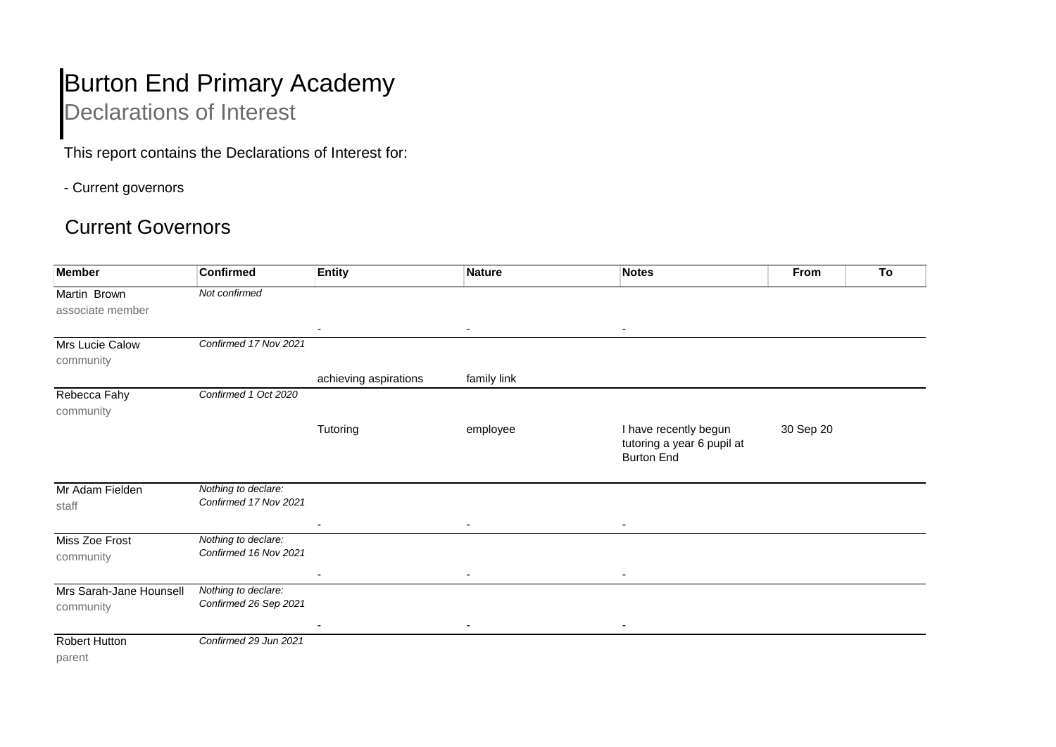# Burton End Primary Academy

## Declarations of Interest

This report contains the Declarations of Interest for:

### - Current governors

### Current Governors

| <b>Member</b>                        | <b>Confirmed</b>                             | <b>Entity</b>         | <b>Nature</b>            | <b>Notes</b>                                                             | From      | To |
|--------------------------------------|----------------------------------------------|-----------------------|--------------------------|--------------------------------------------------------------------------|-----------|----|
| Martin Brown<br>associate member     | Not confirmed                                |                       |                          |                                                                          |           |    |
| Mrs Lucie Calow<br>community         | Confirmed 17 Nov 2021                        |                       | $\overline{\phantom{a}}$ | $\blacksquare$                                                           |           |    |
|                                      |                                              | achieving aspirations | family link              |                                                                          |           |    |
| Rebecca Fahy<br>community            | Confirmed 1 Oct 2020                         |                       |                          |                                                                          |           |    |
|                                      |                                              | Tutoring              | employee                 | I have recently begun<br>tutoring a year 6 pupil at<br><b>Burton End</b> | 30 Sep 20 |    |
| Mr Adam Fielden<br>staff             | Nothing to declare:<br>Confirmed 17 Nov 2021 |                       | $\blacksquare$           |                                                                          |           |    |
| Miss Zoe Frost<br>community          | Nothing to declare:<br>Confirmed 16 Nov 2021 | $\blacksquare$        | ٠                        | $\sim$<br>$\overline{\phantom{a}}$                                       |           |    |
| Mrs Sarah-Jane Hounsell<br>community | Nothing to declare:<br>Confirmed 26 Sep 2021 |                       | $\overline{\phantom{a}}$ |                                                                          |           |    |
| <b>Robert Hutton</b><br>parent       | Confirmed 29 Jun 2021                        |                       |                          |                                                                          |           |    |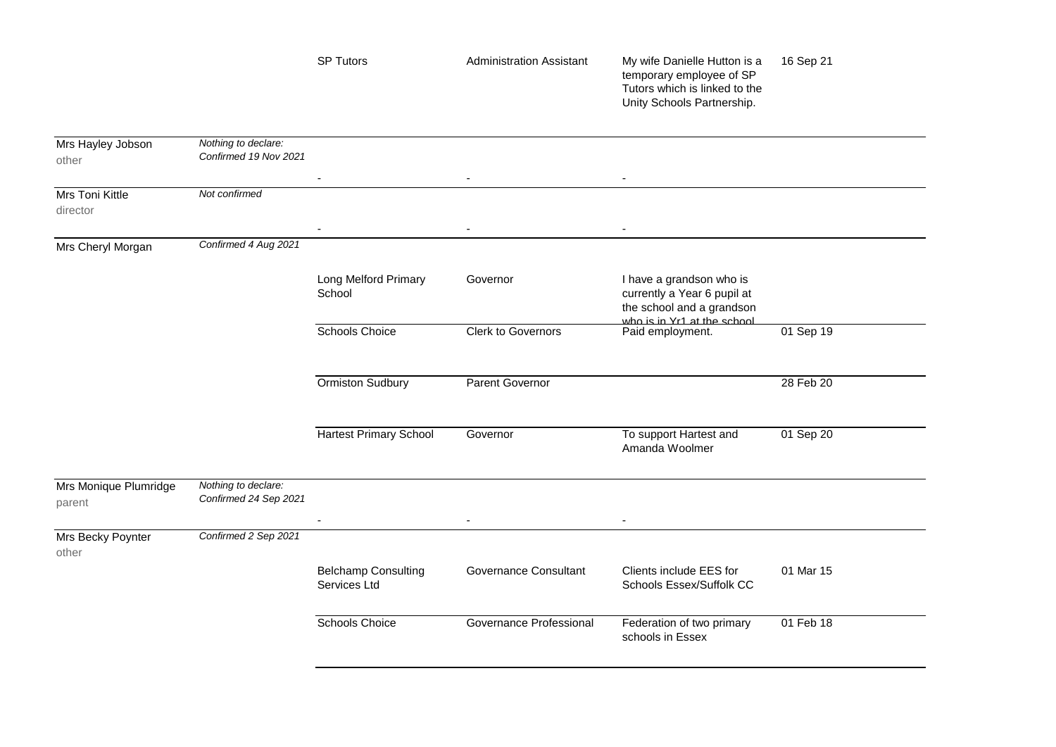|                                 |                                              | <b>SP Tutors</b>                           | <b>Administration Assistant</b> | My wife Danielle Hutton is a<br>temporary employee of SP<br>Tutors which is linked to the<br>Unity Schools Partnership. | 16 Sep 21 |
|---------------------------------|----------------------------------------------|--------------------------------------------|---------------------------------|-------------------------------------------------------------------------------------------------------------------------|-----------|
| Mrs Hayley Jobson<br>other      | Nothing to declare:<br>Confirmed 19 Nov 2021 |                                            |                                 |                                                                                                                         |           |
| Mrs Toni Kittle<br>director     | Not confirmed                                |                                            |                                 |                                                                                                                         |           |
| Mrs Cheryl Morgan               | Confirmed 4 Aug 2021                         |                                            |                                 |                                                                                                                         |           |
|                                 |                                              | Long Melford Primary<br>School             | Governor                        | I have a grandson who is<br>currently a Year 6 pupil at<br>the school and a grandson<br>who is in Yr1 at the school.    |           |
|                                 |                                              | Schools Choice                             | <b>Clerk to Governors</b>       | Paid employment.                                                                                                        | 01 Sep 19 |
|                                 |                                              | Ormiston Sudbury                           | Parent Governor                 |                                                                                                                         | 28 Feb 20 |
|                                 |                                              | <b>Hartest Primary School</b>              | Governor                        | To support Hartest and<br>Amanda Woolmer                                                                                | 01 Sep 20 |
| Mrs Monique Plumridge<br>parent | Nothing to declare:<br>Confirmed 24 Sep 2021 |                                            |                                 |                                                                                                                         |           |
| Mrs Becky Poynter<br>other      | Confirmed 2 Sep 2021                         |                                            | $\sim$                          | $\blacksquare$                                                                                                          |           |
|                                 |                                              | <b>Belchamp Consulting</b><br>Services Ltd | <b>Governance Consultant</b>    | Clients include EES for<br>Schools Essex/Suffolk CC                                                                     | 01 Mar 15 |
|                                 |                                              | Schools Choice                             | Governance Professional         | Federation of two primary<br>schools in Essex                                                                           | 01 Feb 18 |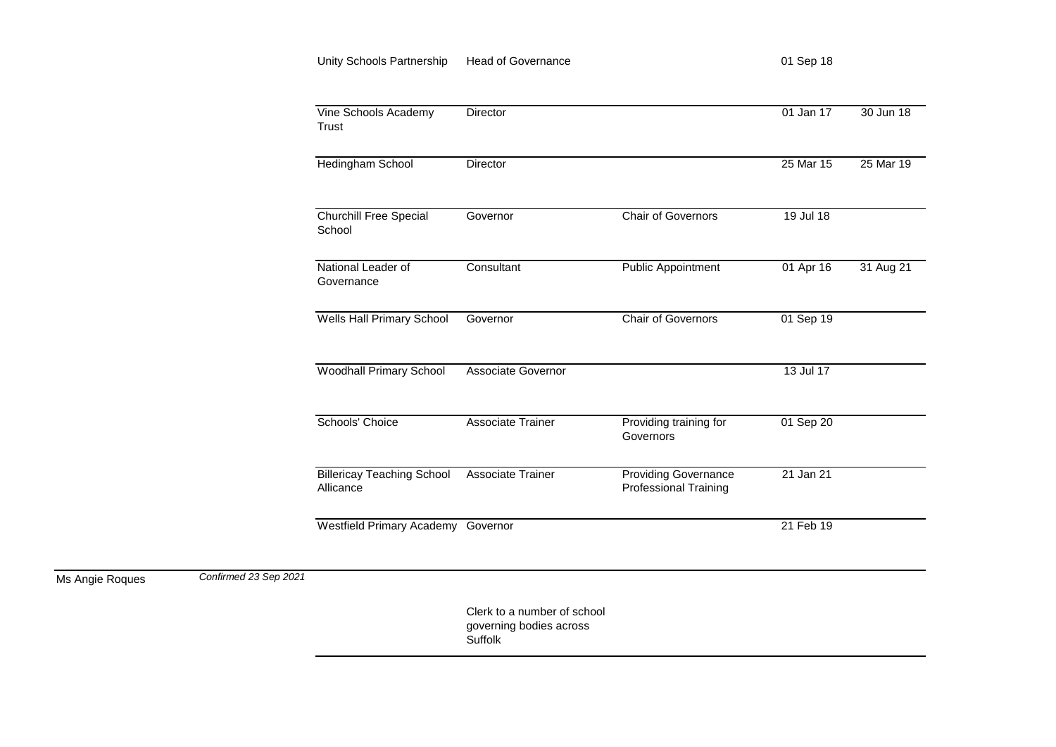#### Unity Schools Partnership Head of Governance **Department of Sep 18** 01 Sep 18

|                                          | Vine Schools Academy<br>Trust                  | Director                 |                                                             | 01 Jan 17 | 30 Jun 18 |
|------------------------------------------|------------------------------------------------|--------------------------|-------------------------------------------------------------|-----------|-----------|
|                                          | Hedingham School                               | Director                 |                                                             | 25 Mar 15 | 25 Mar 19 |
|                                          | <b>Churchill Free Special</b><br>School        | Governor                 | <b>Chair of Governors</b>                                   | 19 Jul 18 |           |
|                                          | National Leader of<br>Governance               | Consultant               | <b>Public Appointment</b>                                   | 01 Apr 16 | 31 Aug 21 |
|                                          | <b>Wells Hall Primary School</b>               | Governor                 | <b>Chair of Governors</b>                                   | 01 Sep 19 |           |
|                                          | <b>Woodhall Primary School</b>                 | Associate Governor       |                                                             | 13 Jul 17 |           |
|                                          | Schools' Choice                                | <b>Associate Trainer</b> | Providing training for<br>Governors                         | 01 Sep 20 |           |
|                                          | <b>Billericay Teaching School</b><br>Allicance | <b>Associate Trainer</b> | <b>Providing Governance</b><br><b>Professional Training</b> | 21 Jan 21 |           |
|                                          | Westfield Primary Academy Governor             |                          |                                                             | 21 Feb 19 |           |
| Confirmed 23 Sep 2021<br>Ms Angie Roques |                                                |                          |                                                             |           |           |

Clerk to a number of school governing bodies across Suffolk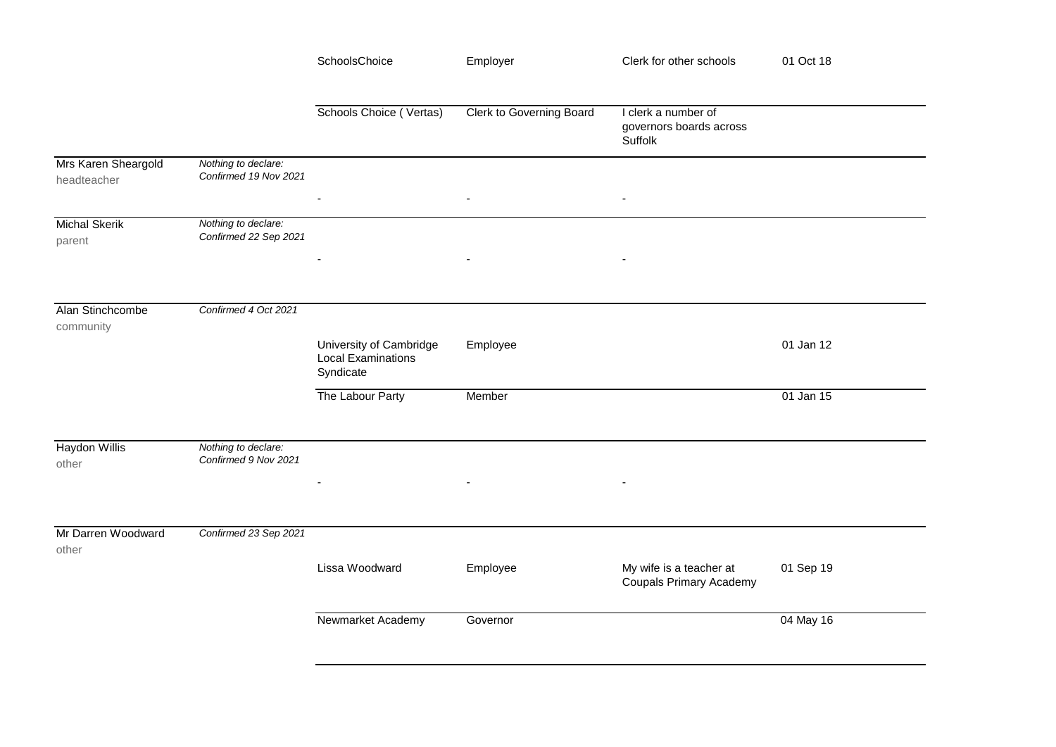|                                    |                                              | SchoolsChoice                                                     | Employer                 | Clerk for other schools                                   | 01 Oct 18 |
|------------------------------------|----------------------------------------------|-------------------------------------------------------------------|--------------------------|-----------------------------------------------------------|-----------|
|                                    |                                              |                                                                   |                          |                                                           |           |
|                                    |                                              | Schools Choice (Vertas)                                           | Clerk to Governing Board | I clerk a number of<br>governors boards across<br>Suffolk |           |
| Mrs Karen Sheargold<br>headteacher | Nothing to declare:<br>Confirmed 19 Nov 2021 |                                                                   |                          | $\overline{\phantom{a}}$                                  |           |
| <b>Michal Skerik</b><br>parent     | Nothing to declare:<br>Confirmed 22 Sep 2021 |                                                                   |                          |                                                           |           |
| Alan Stinchcombe<br>community      | Confirmed 4 Oct 2021                         |                                                                   |                          |                                                           |           |
|                                    |                                              | University of Cambridge<br><b>Local Examinations</b><br>Syndicate | Employee                 |                                                           | 01 Jan 12 |
|                                    |                                              | The Labour Party                                                  | Member                   |                                                           | 01 Jan 15 |
| <b>Haydon Willis</b><br>other      | Nothing to declare:<br>Confirmed 9 Nov 2021  |                                                                   |                          |                                                           |           |
|                                    |                                              |                                                                   |                          |                                                           |           |
| Mr Darren Woodward                 | Confirmed 23 Sep 2021                        |                                                                   |                          |                                                           |           |
| other                              |                                              | Lissa Woodward                                                    | Employee                 | My wife is a teacher at<br><b>Coupals Primary Academy</b> | 01 Sep 19 |
|                                    |                                              | Newmarket Academy                                                 | Governor                 |                                                           | 04 May 16 |